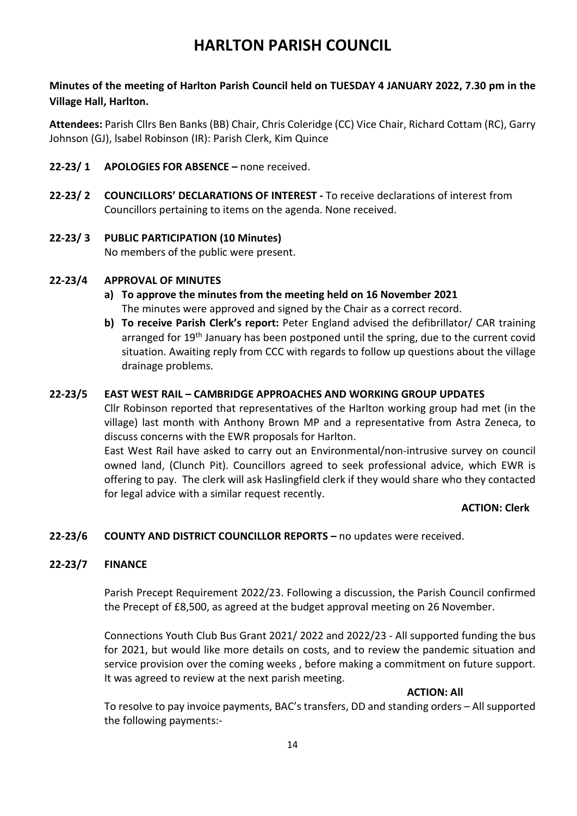# **HARLTON PARISH COUNCIL**

**Minutes of the meeting of Harlton Parish Council held on TUESDAY 4 JANUARY 2022, 7.30 pm in the Village Hall, Harlton.**

**Attendees:** Parish Cllrs Ben Banks (BB) Chair, Chris Coleridge (CC) Vice Chair, Richard Cottam (RC), Garry Johnson (GJ), lsabel Robinson (IR): Parish Clerk, Kim Quince

- **22-23/ 1 APOLOGIES FOR ABSENCE –** none received.
- **22-23/ 2 COUNCILLORS' DECLARATIONS OF INTEREST -** To receive declarations of interest from Councillors pertaining to items on the agenda. None received.
- **22-23/ 3 PUBLIC PARTICIPATION (10 Minutes)**  No members of the public were present.

## **22-23/4 APPROVAL OF MINUTES**

- **a) To approve the minutes from the meeting held on 16 November 2021** The minutes were approved and signed by the Chair as a correct record.
- **b) To receive Parish Clerk's report:** Peter England advised the defibrillator/ CAR training arranged for 19<sup>th</sup> January has been postponed until the spring, due to the current covid situation. Awaiting reply from CCC with regards to follow up questions about the village drainage problems.

## **22-23/5 EAST WEST RAIL – CAMBRIDGE APPROACHES AND WORKING GROUP UPDATES**

Cllr Robinson reported that representatives of the Harlton working group had met (in the village) last month with Anthony Brown MP and a representative from Astra Zeneca, to discuss concerns with the EWR proposals for Harlton.

East West Rail have asked to carry out an Environmental/non-intrusive survey on council owned land, (Clunch Pit). Councillors agreed to seek professional advice, which EWR is offering to pay. The clerk will ask Haslingfield clerk if they would share who they contacted for legal advice with a similar request recently.

## **ACTION: Clerk**

## **22-23/6 COUNTY AND DISTRICT COUNCILLOR REPORTS –** no updates were received.

## **22-23/7 FINANCE**

Parish Precept Requirement 2022/23. Following a discussion, the Parish Council confirmed the Precept of £8,500, as agreed at the budget approval meeting on 26 November.

Connections Youth Club Bus Grant 2021/ 2022 and 2022/23 - All supported funding the bus for 2021, but would like more details on costs, and to review the pandemic situation and service provision over the coming weeks , before making a commitment on future support. It was agreed to review at the next parish meeting.

#### **ACTION: All**

To resolve to pay invoice payments, BAC's transfers, DD and standing orders – All supported the following payments:-